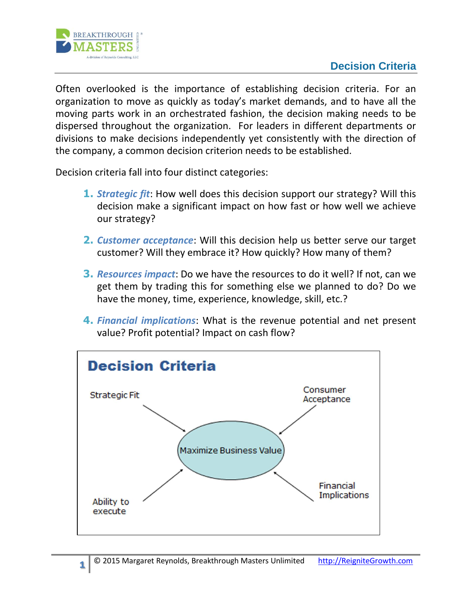## **Decision Criteria**



**1**

Often overlooked is the importance of establishing decision criteria. For an organization to move as quickly as today's market demands, and to have all the moving parts work in an orchestrated fashion, the decision making needs to be dispersed throughout the organization. For leaders in different departments or divisions to make decisions independently yet consistently with the direction of the company, a common decision criterion needs to be established.

Decision criteria fall into four distinct categories:

- **1.** *Strategic fit*: How well does this decision support our strategy? Will this decision make a significant impact on how fast or how well we achieve our strategy?
- **2.** *Customer acceptance*: Will this decision help us better serve our target customer? Will they embrace it? How quickly? How many of them?
- **3.** *Resources impact*: Do we have the resources to do it well? If not, can we get them by trading this for something else we planned to do? Do we have the money, time, experience, knowledge, skill, etc.?
- **4.** *Financial implications*: What is the revenue potential and net present value? Profit potential? Impact on cash flow?

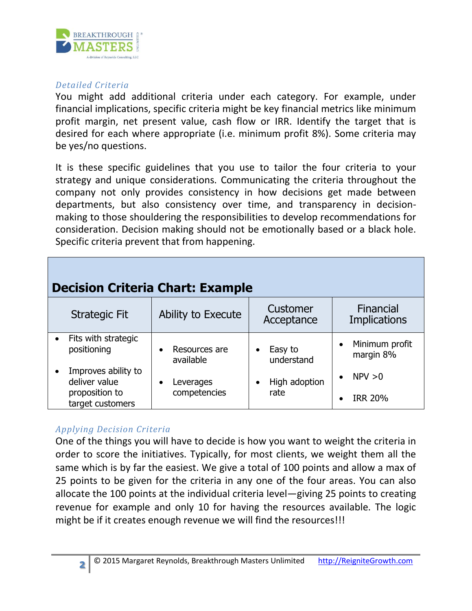

## *Detailed Criteria*

You might add additional criteria under each category. For example, under financial implications, specific criteria might be key financial metrics like minimum profit margin, net present value, cash flow or IRR. Identify the target that is desired for each where appropriate (i.e. minimum profit 8%). Some criteria may be yes/no questions.

It is these specific guidelines that you use to tailor the four criteria to your strategy and unique considerations. Communicating the criteria throughout the company not only provides consistency in how decisions get made between departments, but also consistency over time, and transparency in decisionmaking to those shouldering the responsibilities to develop recommendations for consideration. Decision making should not be emotionally based or a black hole. Specific criteria prevent that from happening.

| <b>Decision Criteria Chart: Example</b>                                    |                                         |                                    |                                          |  |  |
|----------------------------------------------------------------------------|-----------------------------------------|------------------------------------|------------------------------------------|--|--|
| <b>Strategic Fit</b>                                                       | Ability to Execute                      | <b>Customer</b><br>Acceptance      | Financial<br><b>Implications</b>         |  |  |
| Fits with strategic<br>positioning                                         | Resources are<br>$\bullet$<br>available | Easy to<br>٠<br>understand         | Minimum profit<br>$\bullet$<br>margin 8% |  |  |
| Improves ability to<br>deliver value<br>proposition to<br>target customers | Leverages<br>$\bullet$<br>competencies  | High adoption<br>$\bullet$<br>rate | NPV > 0<br><b>IRR 20%</b>                |  |  |

## *Applying Decision Criteria*

One of the things you will have to decide is how you want to weight the criteria in order to score the initiatives. Typically, for most clients, we weight them all the same which is by far the easiest. We give a total of 100 points and allow a max of 25 points to be given for the criteria in any one of the four areas. You can also allocate the 100 points at the individual criteria level—giving 25 points to creating revenue for example and only 10 for having the resources available. The logic might be if it creates enough revenue we will find the resources!!!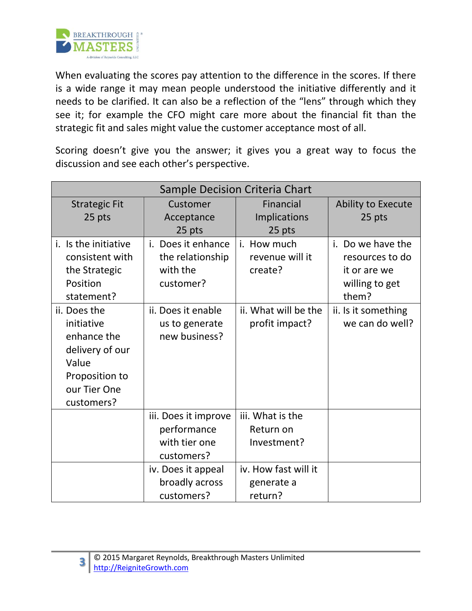

When evaluating the scores pay attention to the difference in the scores. If there is a wide range it may mean people understood the initiative differently and it needs to be clarified. It can also be a reflection of the "lens" through which they see it; for example the CFO might care more about the financial fit than the strategic fit and sales might value the customer acceptance most of all.

Scoring doesn't give you the answer; it gives you a great way to focus the discussion and see each other's perspective.

| Sample Decision Criteria Chart |                           |                      |                     |  |  |
|--------------------------------|---------------------------|----------------------|---------------------|--|--|
| <b>Strategic Fit</b>           | Customer                  | <b>Financial</b>     | Ability to Execute  |  |  |
| 25 pts                         | Acceptance                | <b>Implications</b>  | 25 pts              |  |  |
|                                | 25 pts                    | 25 pts               |                     |  |  |
| <i>i.</i> Is the initiative    | <i>i.</i> Does it enhance | i. How much          | i. Do we have the   |  |  |
| consistent with                | the relationship          | revenue will it      | resources to do     |  |  |
| the Strategic                  | with the                  | create?              | it or are we        |  |  |
| Position                       | customer?                 |                      | willing to get      |  |  |
| statement?                     |                           |                      | them?               |  |  |
| ii. Does the                   | ii. Does it enable        | ii. What will be the | ii. Is it something |  |  |
| initiative                     | us to generate            | profit impact?       | we can do well?     |  |  |
| enhance the                    | new business?             |                      |                     |  |  |
| delivery of our                |                           |                      |                     |  |  |
| Value                          |                           |                      |                     |  |  |
| Proposition to                 |                           |                      |                     |  |  |
| our Tier One                   |                           |                      |                     |  |  |
| customers?                     |                           |                      |                     |  |  |
|                                | iii. Does it improve      | iii. What is the     |                     |  |  |
|                                | performance               | Return on            |                     |  |  |
|                                | with tier one             | Investment?          |                     |  |  |
|                                | customers?                |                      |                     |  |  |
|                                | iv. Does it appeal        | iv. How fast will it |                     |  |  |
|                                | broadly across            | generate a           |                     |  |  |
|                                | customers?                | return?              |                     |  |  |